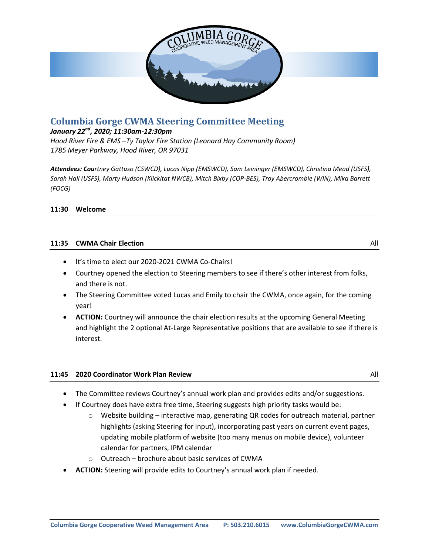

# **Columbia Gorge CWMA Steering Committee Meeting**

## *January 22nd, 2020; 11:30am-12:30pm*

*Hood River Fire & EMS –Ty Taylor Fire Station (Leonard Hay Community Room) 1785 Meyer Parkway, Hood River, OR 97031*

*Attendees: Courtney Gattuso (CSWCD), Lucas Nipp (EMSWCD), Sam Leininger (EMSWCD), Christina Mead (USFS), Sarah Hall (USFS), Marty Hudson (Klickitat NWCB), Mitch Bixby (COP-BES), Troy Abercrombie (WIN), Mika Barrett (FOCG)*

### **11:30 Welcome**

### **11:35 CWMA Chair Election** All

- $\bullet$  It's time to elect our 2020-2021 CWMA Co-Chairs!
- Courtney opened the election to Steering members to see if there's other interest from folks, and there is not.
- The Steering Committee voted Lucas and Emily to chair the CWMA, once again, for the coming year!
- **ACTION:** Courtney will announce the chair election results at the upcoming General Meeting and highlight the 2 optional At-Large Representative positions that are available to see if there is interest.

## **11:45 2020 Coordinator Work Plan Review** All All

- 
- The Committee reviews Courtney's annual work plan and provides edits and/or suggestions.
- If Courtney does have extra free time, Steering suggests high priority tasks would be:
	- $\circ$  Website building interactive map, generating QR codes for outreach material, partner highlights (asking Steering for input), incorporating past years on current event pages, updating mobile platform of website (too many menus on mobile device), volunteer calendar for partners, IPM calendar
	- o Outreach brochure about basic services of CWMA
- **ACTION:** Steering will provide edits to Courtney's annual work plan if needed.